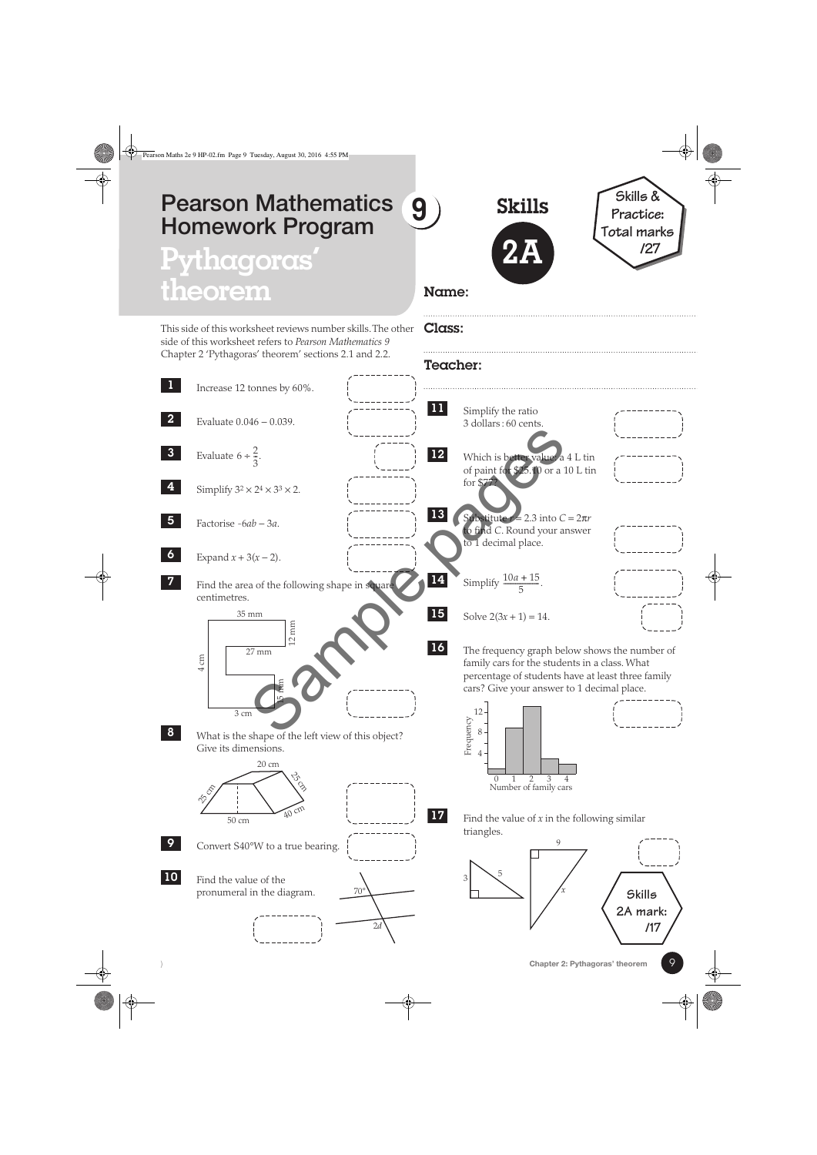## **9 Pearson Mathematics Homework Program**

# Pythagoras **theorem**

Increase 12 tonnes by 60%.

Evaluate 0.046 − 0.039.

Simplify  $3^2 \times 2^4 \times 3^3 \times 2$ .

Factorise -6*ab* − 3*a*.

Expand  $x + 3(x - 2)$ .

35 mm

27 mm

12 mm

centimetres.

 $4 \text{ cm}$ 

**3** Evaluate  $6 \div \frac{2}{3}$ .

1

2

4

5

6

7

8

9

10

This side of this worksheet reviews number skills. The other side of this worksheet refers to *Pearson Mathematics 9* Chapter 2 'Pythagoras' theorem' sections 2.1 and 2.2.

Skills

**2A**



#### Name:

Class:

## Teacher: Find the area of the following shape in square Simplify the ratio 3 dollars : 60 cents. Which is better value: a 4 L tin of paint for \$25.10 or a 10 L tin for \$77? Substitute  $r = 2.3$  into  $C = 2\pi r$ **o** find *C*. Round your answer to 1 decimal place. **14** Simplify  $\frac{10a + 15}{5}$ . Solve  $2(3x + 1) = 14$ . The frequency graph below shows the number of 11 12 13 15 16  $z^{24} \times 3^{3} \times 2$ .<br>  $z^{24} \times 3^{3} \times 2$ .<br>  $z^{24} \times 3^{3} \times 2$ .<br>  $z^{24} \times 3^{3} \times 2$ .<br>  $z^{24} \times 3^{3} \times 2$ .<br>  $z^{24} \times 3^{3} \times 2$ .<br>  $z^{25} \times 10^{-10}$  of paint for  $z^{25} \times 10^{-10}$  or a 1<br>
of paint for  $z^{25} \times 10^{-10}$  or a 1<br>
of

family cars for the students in a class. What percentage of students have at least three family cars? Give your answer to 1 decimal place.



Find the value of *x* in the following similar triangles.

17







Find the value of the pronumeral in the diagram.

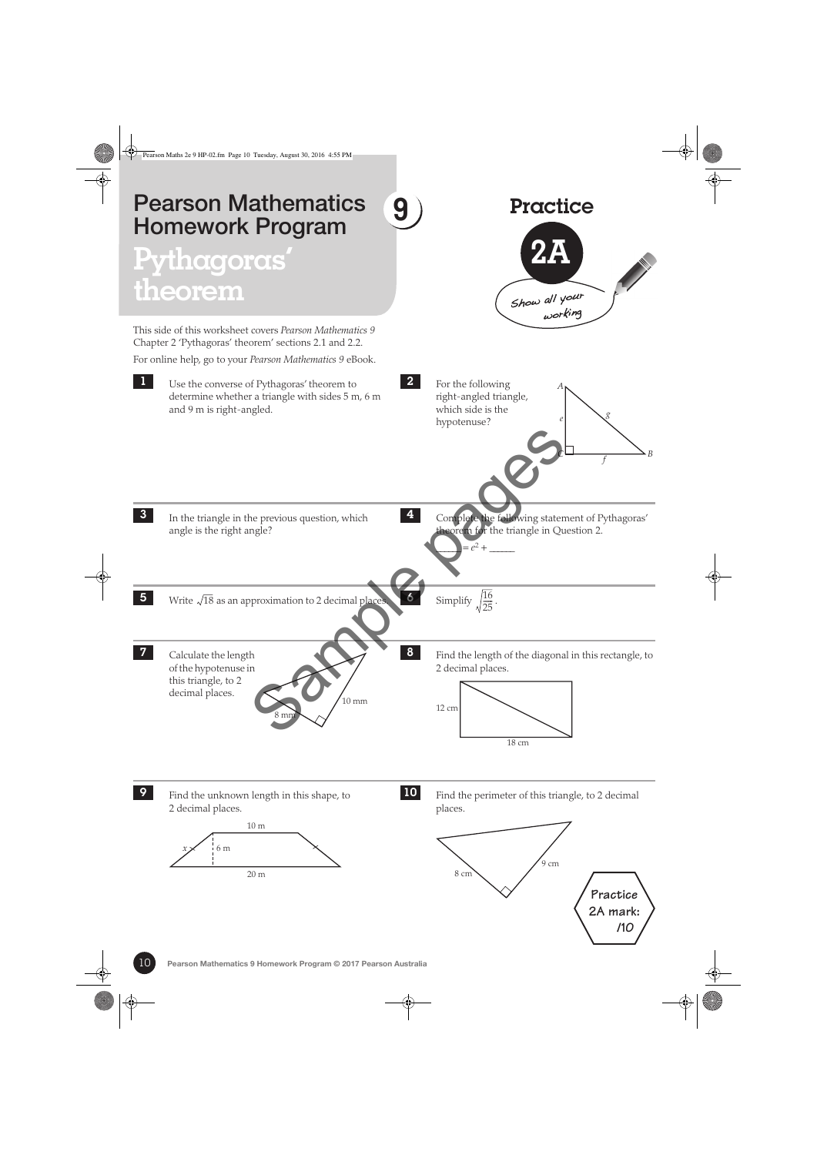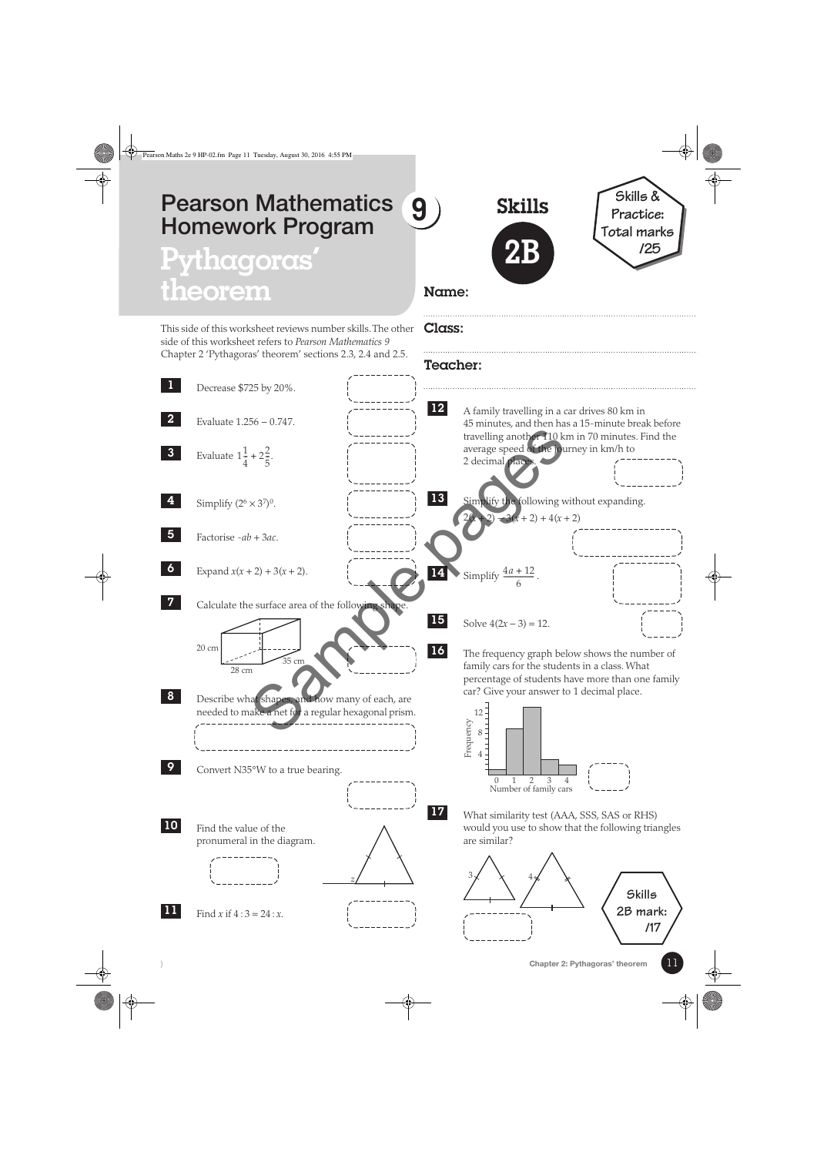## **9 Pearson Mathematics Homework Program**

## Pythagoras **theorem**

This side of this worksheet reviews number skills. The other side of this worksheet refers to *Pearson Mathematics 9* Chapter 2 'Pythagoras' theorem' sections 2.3, 2.4 and 2.5.

Skills **2B**



### Name:

#### Class:

#### Teacher: Decrease \$725 by 20%. Evaluate 1.256 − 0.747. **3** Evaluate  $1\frac{1}{4} + 2\frac{2}{5}$ . Simplify  $(2^6 \times 3^7)^0$ . Factorise -*ab* + 3*ac*. Expand  $x(x + 2) + 3(x + 2)$ . Calculate the surface area of the following shape Describe what shapes, and how many of each, are needed to make a net for a regular hexagonal prism. Convert N35°W to a true bearing. Find the value of the pronumeral in the diagram. Find *x* if  $4:3 = 24:x$ . 1 2 4 5 6 7 20 cm 28 cm 35 cm 8 9 10 *z* 11 A family travelling in a car drives 80 km in 45 minutes, and then has a 15-minute break before travelling another 110 km in 70 minutes. Find the average speed of the journey in km/h to 2 decimal places. lify the following without expanding.  $-3(x+2) + 4(x+2)$ **14** Simplify  $\frac{4a+12}{6}$ . Solve  $4(2x-3) = 12$ . The frequency graph below shows the number of family cars for the students in a class. What percentage of students have more than one family car? Give your answer to 1 decimal place. What similarity test (AAA, SSS, SAS or RHS) would you use to show that the following triangles are similar? 12 13 15 16 Number of family cars Frequency 4 8  $12^{-}$ 01234 17  $3\chi \quad \chi \quad 4$ **Skills 2B mark:**  $x = 2^2$ <br>  $x = 30^\circ$ .<br>  $x = 2 + 3(x + 2)$ .<br>  $x = 2 + 3(x + 2)$ .<br>
Simplify  $\frac{4a + 12}{6}$ .<br>
Simplify  $\frac{4a + 12}{6}$ .<br>
Simplify  $\frac{4a + 12}{6}$ .<br>
Simplify  $\frac{4a + 12}{6}$ .<br>
Simplify  $\frac{4a + 12}{6}$ .<br>
Simplify  $\frac{4a + 12}{6}$ .<br>
Simplify

**/17**